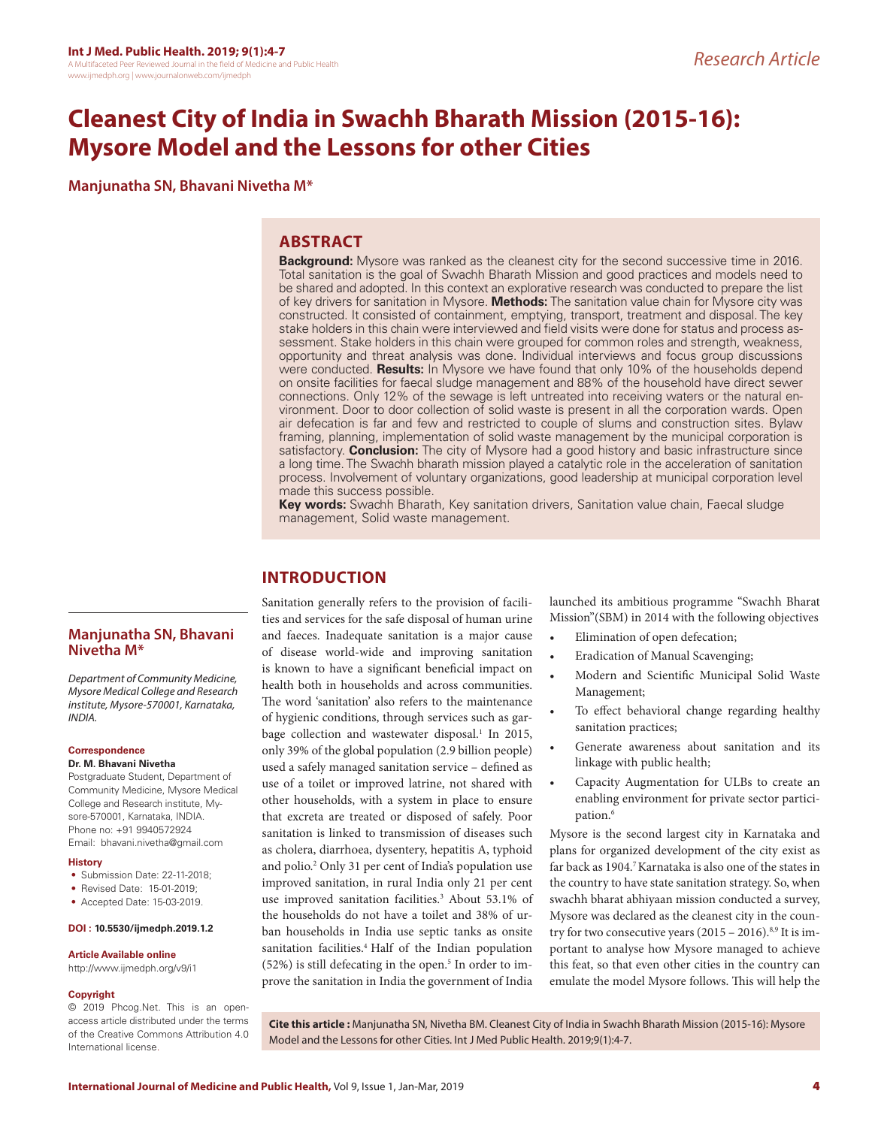# **Cleanest City of India in Swachh Bharath Mission (2015-16): Mysore Model and the Lessons for other Cities**

**Manjunatha SN, Bhavani Nivetha M\***

# **ABSTRACT**

**Background:** Mysore was ranked as the cleanest city for the second successive time in 2016. Total sanitation is the goal of Swachh Bharath Mission and good practices and models need to be shared and adopted. In this context an explorative research was conducted to prepare the list of key drivers for sanitation in Mysore. **Methods:** The sanitation value chain for Mysore city was constructed. It consisted of containment, emptying, transport, treatment and disposal. The key stake holders in this chain were interviewed and field visits were done for status and process assessment. Stake holders in this chain were grouped for common roles and strength, weakness, opportunity and threat analysis was done. Individual interviews and focus group discussions were conducted. **Results:** In Mysore we have found that only 10% of the households depend on onsite facilities for faecal sludge management and 88% of the household have direct sewer connections. Only 12% of the sewage is left untreated into receiving waters or the natural environment. Door to door collection of solid waste is present in all the corporation wards. Open air defecation is far and few and restricted to couple of slums and construction sites. Bylaw framing, planning, implementation of solid waste management by the municipal corporation is satisfactory. **Conclusion:** The city of Mysore had a good history and basic infrastructure since a long time. The Swachh bharath mission played a catalytic role in the acceleration of sanitation process. Involvement of voluntary organizations, good leadership at municipal corporation level made this success possible.

**Key words:** Swachh Bharath, Key sanitation drivers, Sanitation value chain, Faecal sludge management, Solid waste management.

# **INTRODUCTION**

**Manjunatha SN, Bhavani Nivetha M\***

*Department of Community Medicine, Mysore Medical College and Research institute, Mysore-570001, Karnataka, INDIA.*

#### **Correspondence**

**Dr. M. Bhavani Nivetha**

Postgraduate Student, Department of Community Medicine, Mysore Medical College and Research institute, Mysore-570001, Karnataka, INDIA. Phone no: +91 9940572924 Email: bhavani.nivetha@gmail.com

#### **History**

- Submission Date: 22-11-2018;
- Revised Date: 15-01-2019;
- Accepted Date: 15-03-2019.

#### **DOI : 10.5530/ijmedph.2019.1.2**

#### **Article Available online**

http://www.ijmedph.org/v9/i1

#### **Copyright**

© 2019 Phcog.Net. This is an openaccess article distributed under the terms of the Creative Commons Attribution 4.0 International license.

Sanitation generally refers to the provision of facilities and services for the safe disposal of human urine and faeces. Inadequate sanitation is a major cause of disease world-wide and improving sanitation is known to have a significant beneficial impact on health both in households and across communities. The word 'sanitation' also refers to the maintenance of hygienic conditions, through services such as garbage collection and wastewater disposal.<sup>1</sup> In 2015, only 39% of the global population (2.9 billion people) used a safely managed sanitation service – defined as use of a toilet or improved latrine, not shared with other households, with a system in place to ensure that excreta are treated or disposed of safely. Poor sanitation is linked to transmission of diseases such as cholera, diarrhoea, dysentery, hepatitis A, typhoid and polio.2 Only 31 per cent of India's population use improved sanitation, in rural India only 21 per cent use improved sanitation facilities.<sup>3</sup> About 53.1% of the households do not have a toilet and 38% of urban households in India use septic tanks as onsite sanitation facilities.<sup>4</sup> Half of the Indian population  $(52%)$  is still defecating in the open.<sup>5</sup> In order to improve the sanitation in India the government of India

launched its ambitious programme "Swachh Bharat Mission"(SBM) in 2014 with the following objectives

- Elimination of open defecation;
- Eradication of Manual Scavenging;
- Modern and Scientific Municipal Solid Waste Management;
- To effect behavioral change regarding healthy sanitation practices;
- Generate awareness about sanitation and its linkage with public health;
- Capacity Augmentation for ULBs to create an enabling environment for private sector participation.<sup>6</sup>

Mysore is the second largest city in Karnataka and plans for organized development of the city exist as far back as 1904.<sup>7</sup> Karnataka is also one of the states in the country to have state sanitation strategy. So, when swachh bharat abhiyaan mission conducted a survey, Mysore was declared as the cleanest city in the country for two consecutive years  $(2015 - 2016).$ <sup>8,9</sup> It is important to analyse how Mysore managed to achieve this feat, so that even other cities in the country can emulate the model Mysore follows. This will help the

**Cite this article :** Manjunatha SN, Nivetha BM. Cleanest City of India in Swachh Bharath Mission (2015-16): Mysore Model and the Lessons for other Cities. Int J Med Public Health. 2019;9(1):4-7.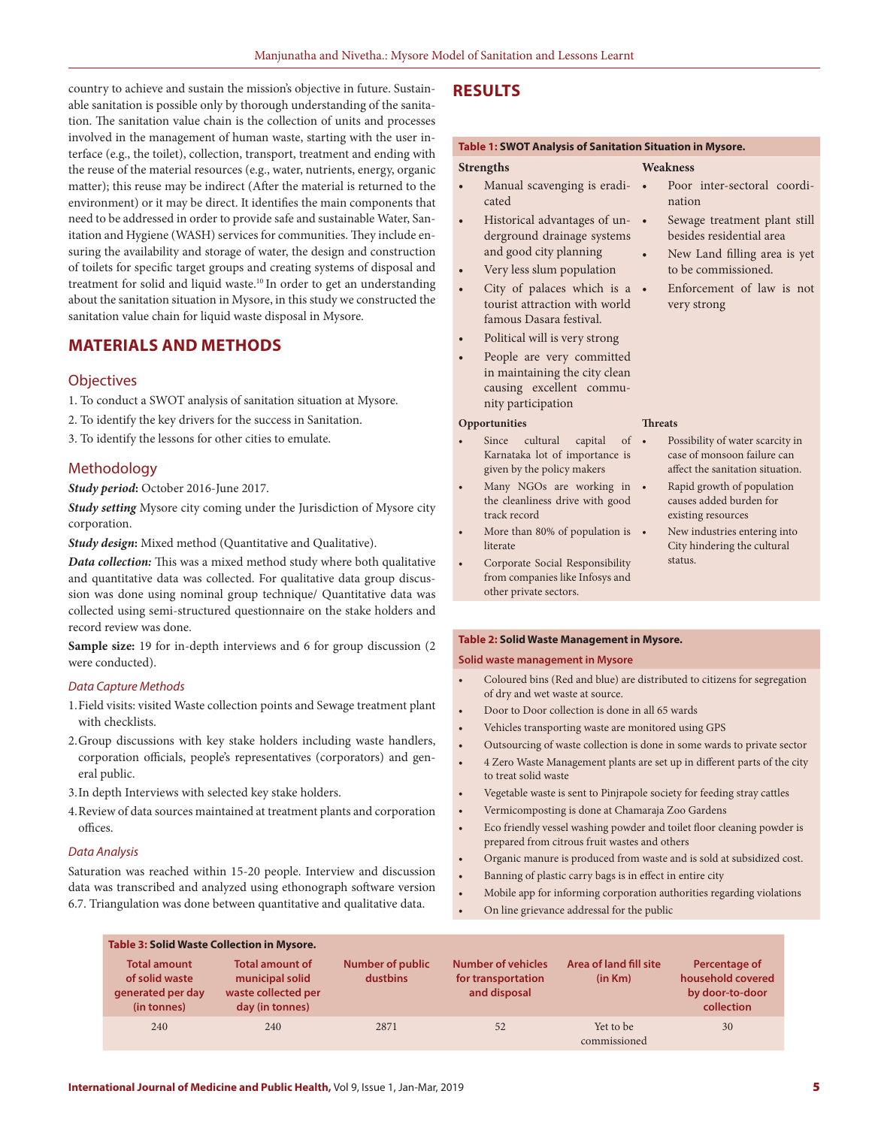country to achieve and sustain the mission's objective in future. Sustainable sanitation is possible only by thorough understanding of the sanitation. The sanitation value chain is the collection of units and processes involved in the management of human waste, starting with the user interface (e.g., the toilet), collection, transport, treatment and ending with the reuse of the material resources (e.g., water, nutrients, energy, organic matter); this reuse may be indirect (After the material is returned to the environment) or it may be direct. It identifies the main components that need to be addressed in order to provide safe and sustainable Water, Sanitation and Hygiene (WASH) services for communities. They include ensuring the availability and storage of water, the design and construction of toilets for specific target groups and creating systems of disposal and treatment for solid and liquid waste.<sup>10</sup> In order to get an understanding about the sanitation situation in Mysore, in this study we constructed the sanitation value chain for liquid waste disposal in Mysore.

# **MATERIALS AND METHODS**

## **Objectives**

- 1. To conduct a SWOT analysis of sanitation situation at Mysore.
- 2. To identify the key drivers for the success in Sanitation.
- 3. To identify the lessons for other cities to emulate.

## Methodology

*Study period***:** October 2016-June 2017.

*Study setting* Mysore city coming under the Jurisdiction of Mysore city corporation.

*Study design***:** Mixed method (Quantitative and Qualitative).

*Data collection:* This was a mixed method study where both qualitative and quantitative data was collected. For qualitative data group discussion was done using nominal group technique/ Quantitative data was collected using semi-structured questionnaire on the stake holders and record review was done.

**Sample size:** 19 for in-depth interviews and 6 for group discussion (2 were conducted).

## *Data Capture Methods*

- 1.Field visits: visited Waste collection points and Sewage treatment plant with checklists.
- 2.Group discussions with key stake holders including waste handlers, corporation officials, people's representatives (corporators) and general public.
- 3.In depth Interviews with selected key stake holders.
- 4.Review of data sources maintained at treatment plants and corporation offices.

## *Data Analysis*

Saturation was reached within 15-20 people. Interview and discussion data was transcribed and analyzed using ethonograph software version 6.7. Triangulation was done between quantitative and qualitative data.

## **RESULTS**

**Strengths**

#### **Table 1: SWOT Analysis of Sanitation Situation in Mysore.**

Poor inter-sectoral coordi-

Sewage treatment plant still besides residential area New Land filling area is yet to be commissioned. Enforcement of law is not

Possibility of water scarcity in case of monsoon failure can affect the sanitation situation. • Rapid growth of population causes added burden for existing resources

New industries entering into City hindering the cultural

nation

very strong

**Threats**

status.

#### **Weakness**

- Manual scavenging is eradicated
- Historical advantages of underground drainage systems and good city planning
- Very less slum population
- City of palaces which is a tourist attraction with world famous Dasara festival.
- Political will is very strong
- People are very committed in maintaining the city clean causing excellent community participation

### **Opportunities**

- Since cultural capital of Karnataka lot of importance is given by the policy makers
- Many NGOs are working in . the cleanliness drive with good track record
- More than 80% of population is literate
- Corporate Social Responsibility from companies like Infosys and other private sectors.

#### **Table 2: Solid Waste Management in Mysore.**

#### **Solid waste management in Mysore**

- Coloured bins (Red and blue) are distributed to citizens for segregation of dry and wet waste at source.
- Door to Door collection is done in all 65 wards
- Vehicles transporting waste are monitored using GPS
- Outsourcing of waste collection is done in some wards to private sector
- 4 Zero Waste Management plants are set up in different parts of the city to treat solid waste
- Vegetable waste is sent to Pinjrapole society for feeding stray cattles
- Vermicomposting is done at Chamaraja Zoo Gardens
- Eco friendly vessel washing powder and toilet floor cleaning powder is prepared from citrous fruit wastes and others
- Organic manure is produced from waste and is sold at subsidized cost.
- Banning of plastic carry bags is in effect in entire city
- Mobile app for informing corporation authorities regarding violations
- On line grievance addressal for the public

| <b>Table 3: Solid Waste Collection in Mysore.</b>                         |                                                                                     |                                     |                                                                 |                                   |                                                                     |
|---------------------------------------------------------------------------|-------------------------------------------------------------------------------------|-------------------------------------|-----------------------------------------------------------------|-----------------------------------|---------------------------------------------------------------------|
| <b>Total amount</b><br>of solid waste<br>generated per day<br>(in tonnes) | <b>Total amount of</b><br>municipal solid<br>waste collected per<br>day (in tonnes) | <b>Number of public</b><br>dustbins | <b>Number of vehicles</b><br>for transportation<br>and disposal | Area of land fill site<br>(in Km) | Percentage of<br>household covered<br>by door-to-door<br>collection |
| 240                                                                       | 240                                                                                 | 2871                                | 52                                                              | Yet to be<br>commissioned         | 30                                                                  |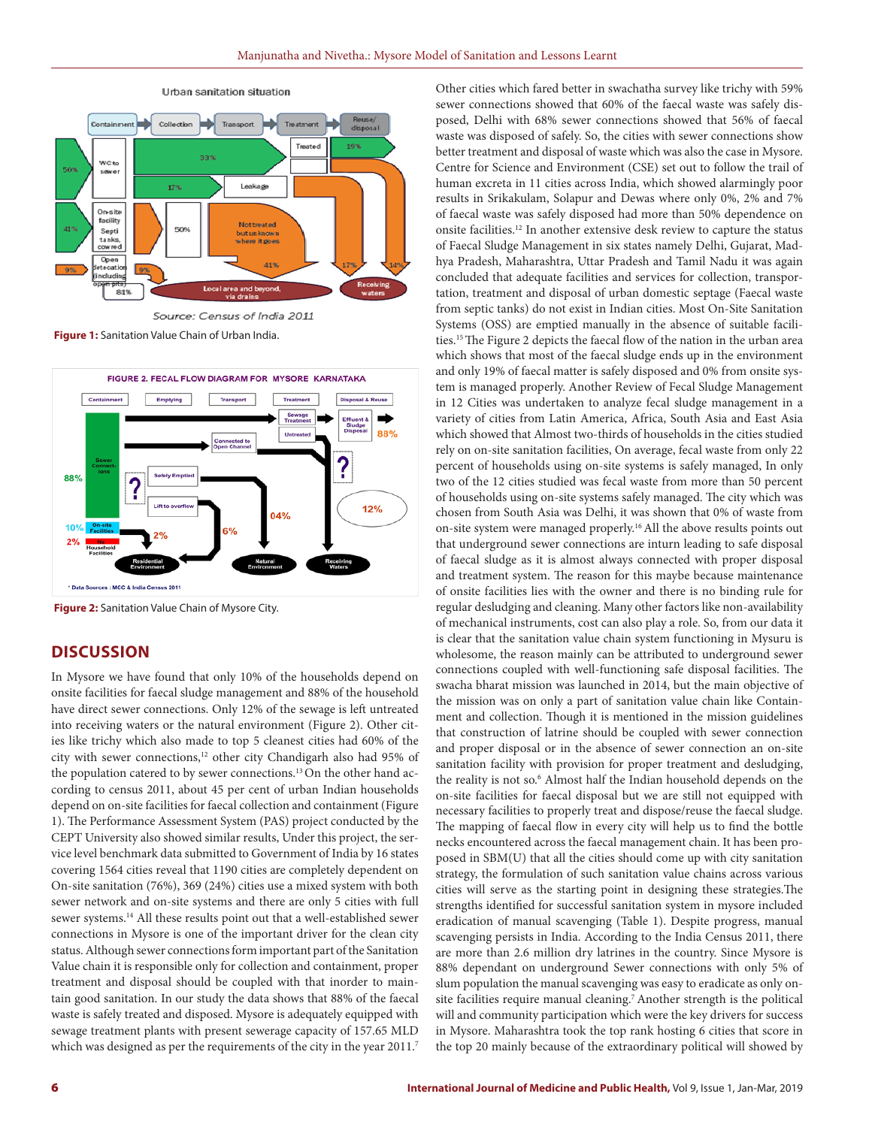

Urban sanitation situation

**Figure 1:** Sanitation Value Chain of Urban India.



**Figure 2:** Sanitation Value Chain of Mysore City.

# **DISCUSSION**

In Mysore we have found that only 10% of the households depend on onsite facilities for faecal sludge management and 88% of the household have direct sewer connections. Only 12% of the sewage is left untreated into receiving waters or the natural environment (Figure 2). Other cities like trichy which also made to top 5 cleanest cities had 60% of the city with sewer connections,<sup>12</sup> other city Chandigarh also had 95% of the population catered to by sewer connections.<sup>13</sup> On the other hand according to census 2011, about 45 per cent of urban Indian households depend on on-site facilities for faecal collection and containment (Figure 1). The Performance Assessment System (PAS) project conducted by the CEPT University also showed similar results, Under this project, the service level benchmark data submitted to Government of India by 16 states covering 1564 cities reveal that 1190 cities are completely dependent on On-site sanitation (76%), 369 (24%) cities use a mixed system with both sewer network and on-site systems and there are only 5 cities with full sewer systems.14 All these results point out that a well-established sewer connections in Mysore is one of the important driver for the clean city status. Although sewer connections form important part of the Sanitation Value chain it is responsible only for collection and containment, proper treatment and disposal should be coupled with that inorder to maintain good sanitation. In our study the data shows that 88% of the faecal waste is safely treated and disposed. Mysore is adequately equipped with sewage treatment plants with present sewerage capacity of 157.65 MLD which was designed as per the requirements of the city in the year 2011.<sup>7</sup> Other cities which fared better in swachatha survey like trichy with 59% sewer connections showed that 60% of the faecal waste was safely disposed, Delhi with 68% sewer connections showed that 56% of faecal waste was disposed of safely. So, the cities with sewer connections show better treatment and disposal of waste which was also the case in Mysore. Centre for Science and Environment (CSE) set out to follow the trail of human excreta in 11 cities across India, which showed alarmingly poor results in Srikakulam, Solapur and Dewas where only 0%, 2% and 7% of faecal waste was safely disposed had more than 50% dependence on onsite facilities.12 In another extensive desk review to capture the status of Faecal Sludge Management in six states namely Delhi, Gujarat, Madhya Pradesh, Maharashtra, Uttar Pradesh and Tamil Nadu it was again concluded that adequate facilities and services for collection, transportation, treatment and disposal of urban domestic septage (Faecal waste from septic tanks) do not exist in Indian cities. Most On-Site Sanitation Systems (OSS) are emptied manually in the absence of suitable facilities.15 The Figure 2 depicts the faecal flow of the nation in the urban area which shows that most of the faecal sludge ends up in the environment and only 19% of faecal matter is safely disposed and 0% from onsite system is managed properly. Another Review of Fecal Sludge Management in 12 Cities was undertaken to analyze fecal sludge management in a variety of cities from Latin America, Africa, South Asia and East Asia which showed that Almost two-thirds of households in the cities studied rely on on-site sanitation facilities, On average, fecal waste from only 22 percent of households using on-site systems is safely managed, In only two of the 12 cities studied was fecal waste from more than 50 percent of households using on-site systems safely managed. The city which was chosen from South Asia was Delhi, it was shown that 0% of waste from on-site system were managed properly.16 All the above results points out that underground sewer connections are inturn leading to safe disposal of faecal sludge as it is almost always connected with proper disposal and treatment system. The reason for this maybe because maintenance of onsite facilities lies with the owner and there is no binding rule for regular desludging and cleaning. Many other factors like non-availability of mechanical instruments, cost can also play a role. So, from our data it is clear that the sanitation value chain system functioning in Mysuru is wholesome, the reason mainly can be attributed to underground sewer connections coupled with well-functioning safe disposal facilities. The swacha bharat mission was launched in 2014, but the main objective of the mission was on only a part of sanitation value chain like Containment and collection. Though it is mentioned in the mission guidelines that construction of latrine should be coupled with sewer connection and proper disposal or in the absence of sewer connection an on-site sanitation facility with provision for proper treatment and desludging, the reality is not so.<sup>6</sup> Almost half the Indian household depends on the on-site facilities for faecal disposal but we are still not equipped with necessary facilities to properly treat and dispose/reuse the faecal sludge. The mapping of faecal flow in every city will help us to find the bottle necks encountered across the faecal management chain. It has been proposed in SBM(U) that all the cities should come up with city sanitation strategy, the formulation of such sanitation value chains across various cities will serve as the starting point in designing these strategies.The strengths identified for successful sanitation system in mysore included eradication of manual scavenging (Table 1). Despite progress, manual scavenging persists in India. According to the India Census 2011, there are more than 2.6 million dry latrines in the country. Since Mysore is 88% dependant on underground Sewer connections with only 5% of slum population the manual scavenging was easy to eradicate as only onsite facilities require manual cleaning.<sup>7</sup> Another strength is the political will and community participation which were the key drivers for success in Mysore. Maharashtra took the top rank hosting 6 cities that score in the top 20 mainly because of the extraordinary political will showed by